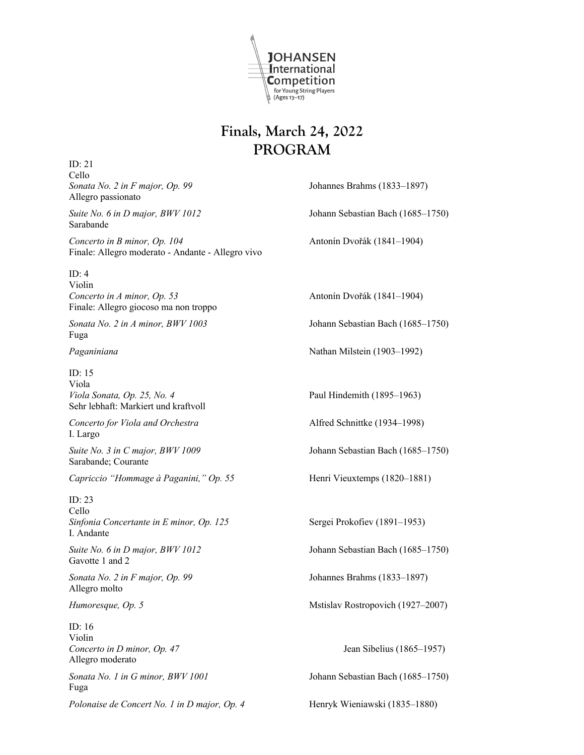

## **Finals, March 24, 2022 PROGRAM**

ID: 21

Cello *Sonata No. 2 in F major, Op. 99* Johannes Brahms (1833–1897) Allegro passionato *Suite No. 6 in D major, BWV 1012* Johann Sebastian Bach (1685–1750) Sarabande *Concerto in B minor, Op. 104* Antonín Dvořák (1841–1904) Finale: Allegro moderato - Andante - Allegro vivo ID: 4 Violin *Concerto in A minor, Op. 53* Antonín Dvořák (1841–1904) Finale: Allegro giocoso ma non troppo *Sonata No. 2 in A minor, BWV 1003* Johann Sebastian Bach (1685–1750) Fuga Paganiniana **Nathan Milstein** (1903–1992) ID: 15 Viola *Viola Sonata, Op. 25, No. 4* Paul Hindemith (1895–1963) Sehr lebhaft: Markiert und kraftvoll *Concerto for Viola and Orchestra* Alfred Schnittke (1934–1998) I. Largo *Suite No. 3 in C major, BWV 1009* Johann Sebastian Bach (1685–1750) Sarabande; Courante *Capriccio "Hommage à Paganini," Op. 55* Henri Vieuxtemps (1820–1881) ID: 23 Cello *Sinfonia Concertante in E minor, Op. 125* Sergei Prokofiev (1891–1953) I. Andante *Suite No. 6 in D major, BWV 1012* Johann Sebastian Bach (1685–1750) Gavotte 1 and 2 *Sonata No. 2 in F major, Op. 99* Johannes Brahms (1833–1897) Allegro molto *Humoresque, Op. 5* Mstislav Rostropovich (1927–2007) ID: 16 Violin *Concerto in D minor, Op. 47* Jean Sibelius (1865–1957) Allegro moderato *Sonata No. 1 in G minor, BWV 1001* Johann Sebastian Bach (1685–1750) Fuga

*Polonaise de Concert No. 1 in D major, Op. 4* Henryk Wieniawski (1835–1880)